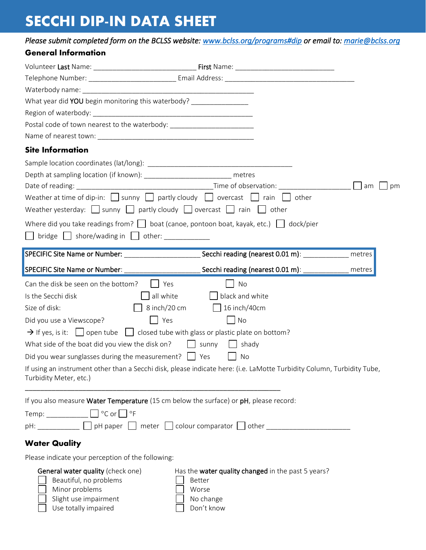## **SECCHI DIP-IN DATA SHEET**

*Please submit completed form on the BCLSS website: [www.bclss.org/programs#dip](https://www.bclss.org/programs#dip) or email to: [marie@bclss.org](mailto:marie@bclss.org)* 

## **General Information**

| Waterbody name: National Contract of the Contract of the Contract of the Contract of the Contract of the Contract of the Contract of the Contract of the Contract of the Contract of the Contract of the Contract of the Contr |                                                                                                                        |          |
|--------------------------------------------------------------------------------------------------------------------------------------------------------------------------------------------------------------------------------|------------------------------------------------------------------------------------------------------------------------|----------|
| What year did YOU begin monitoring this waterbody? _______________                                                                                                                                                             |                                                                                                                        |          |
|                                                                                                                                                                                                                                |                                                                                                                        |          |
| Postal code of town nearest to the waterbody: __________________________________                                                                                                                                               |                                                                                                                        |          |
|                                                                                                                                                                                                                                |                                                                                                                        |          |
| <b>Site Information</b>                                                                                                                                                                                                        |                                                                                                                        |          |
|                                                                                                                                                                                                                                |                                                                                                                        |          |
| Depth at sampling location (if known): ___________________________ metres                                                                                                                                                      |                                                                                                                        |          |
|                                                                                                                                                                                                                                |                                                                                                                        | am<br>pm |
| Weather at time of dip-in: $\Box$ sunny $\Box$ partly cloudy $\Box$ overcast $\Box$ rain $\Box$                                                                                                                                | other                                                                                                                  |          |
| Weather yesterday: $\Box$ sunny $\Box$ partly cloudy $\Box$ overcast $\Box$ rain $\Box$ other                                                                                                                                  |                                                                                                                        |          |
|                                                                                                                                                                                                                                | Where did you take readings from? $\Box$ boat (canoe, pontoon boat, kayak, etc.) $\Box$ dock/pier                      |          |
| $bridge \quad \Box$ shore/wading in $\Box$ other:                                                                                                                                                                              |                                                                                                                        |          |
|                                                                                                                                                                                                                                | SPECIFIC Site Name or Number: _________________________Secchi reading (nearest 0.01 m): ___________                    |          |
|                                                                                                                                                                                                                                |                                                                                                                        | metres   |
| SPECIFIC Site Name or Number:                                                                                                                                                                                                  | Secchi reading (nearest 0.01 m): _____                                                                                 | metres   |
| Can the disk be seen on the bottom?                                                                                                                                                                                            | Yes<br>No                                                                                                              |          |
| Is the Secchi disk                                                                                                                                                                                                             | black and white<br>all white                                                                                           |          |
| Size of disk:                                                                                                                                                                                                                  | 8 inch/20 cm<br>16 inch/40cm                                                                                           |          |
| Did you use a Viewscope?                                                                                                                                                                                                       | Yes<br>No                                                                                                              |          |
| $\rightarrow$ If yes, is it: $\Box$ open tube $\Box$ closed tube with glass or plastic plate on bottom?                                                                                                                        |                                                                                                                        |          |
| What side of the boat did you view the disk on?                                                                                                                                                                                | sunny<br>shady                                                                                                         |          |
| Did you wear sunglasses during the measurement? $\Box$ Yes                                                                                                                                                                     | No                                                                                                                     |          |
| Turbidity Meter, etc.)                                                                                                                                                                                                         | If using an instrument other than a Secchi disk, please indicate here: (i.e. LaMotte Turbidity Column, Turbidity Tube, |          |
|                                                                                                                                                                                                                                | If you also measure Water Temperature (15 cm below the surface) or pH, please record:                                  |          |
|                                                                                                                                                                                                                                |                                                                                                                        |          |
|                                                                                                                                                                                                                                | pH: ___________ D pH paper D meter D colour comparator D other _________________                                       |          |
|                                                                                                                                                                                                                                |                                                                                                                        |          |
| <b>Water Quality</b>                                                                                                                                                                                                           |                                                                                                                        |          |
| Please indicate your perception of the following:                                                                                                                                                                              |                                                                                                                        |          |
| General water quality (check one)<br>Beautiful, no problems<br>Minor problems<br>Slight use impairment<br>Use totally impaired                                                                                                 | Has the water quality changed in the past 5 years?<br>Better<br>Worse<br>No change<br>Don't know                       |          |